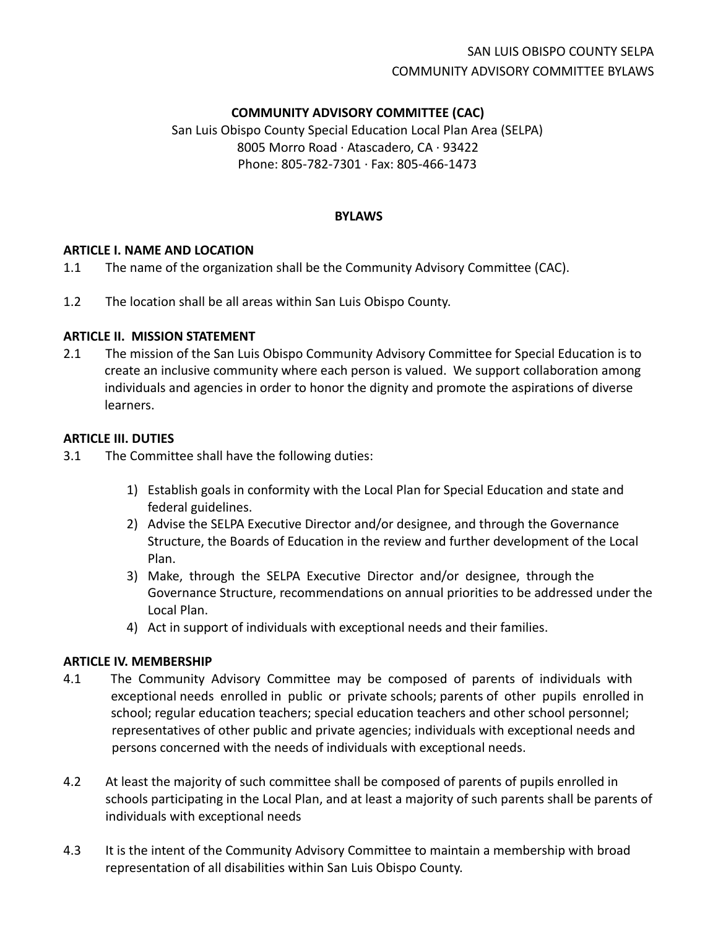# SAN LUIS OBISPO COUNTY SELPA COMMUNITY ADVISORY COMMITTEE BYLAWS

## **COMMUNITY ADVISORY COMMITTEE (CAC)**

San Luis Obispo County Special Education Local Plan Area (SELPA) 8005 Morro Road ∙ Atascadero, CA ∙ 93422 Phone: 805-782-7301 ∙ Fax: 805-466-1473

#### **BYLAWS**

#### **ARTICLE I. NAME AND LOCATION**

- 1.1 The name of the organization shall be the Community Advisory Committee (CAC).
- 1.2 The location shall be all areas within San Luis Obispo County.

#### **ARTICLE II. MISSION STATEMENT**

2.1 The mission of the San Luis Obispo Community Advisory Committee for Special Education is to create an inclusive community where each person is valued. We support collaboration among individuals and agencies in order to honor the dignity and promote the aspirations of diverse learners.

#### **ARTICLE III. DUTIES**

- 3.1 The Committee shall have the following duties:
	- 1) Establish goals in conformity with the Local Plan for Special Education and state and federal guidelines.
	- 2) Advise the SELPA Executive Director and/or designee, and through the Governance Structure, the Boards of Education in the review and further development of the Local Plan.
	- 3) Make, through the SELPA Executive Director and/or designee, through the Governance Structure, recommendations on annual priorities to be addressed under the Local Plan.
	- 4) Act in support of individuals with exceptional needs and their families.

#### **ARTICLE IV. MEMBERSHIP**

- 4.1 The Community Advisory Committee may be composed of parents of individuals with exceptional needs enrolled in public or private schools; parents of other pupils enrolled in school; regular education teachers; special education teachers and other school personnel; representatives of other public and private agencies; individuals with exceptional needs and persons concerned with the needs of individuals with exceptional needs.
- 4.2 At least the majority of such committee shall be composed of parents of pupils enrolled in schools participating in the Local Plan, and at least a majority of such parents shall be parents of individuals with exceptional needs
- 4.3 It is the intent of the Community Advisory Committee to maintain a membership with broad representation of all disabilities within San Luis Obispo County.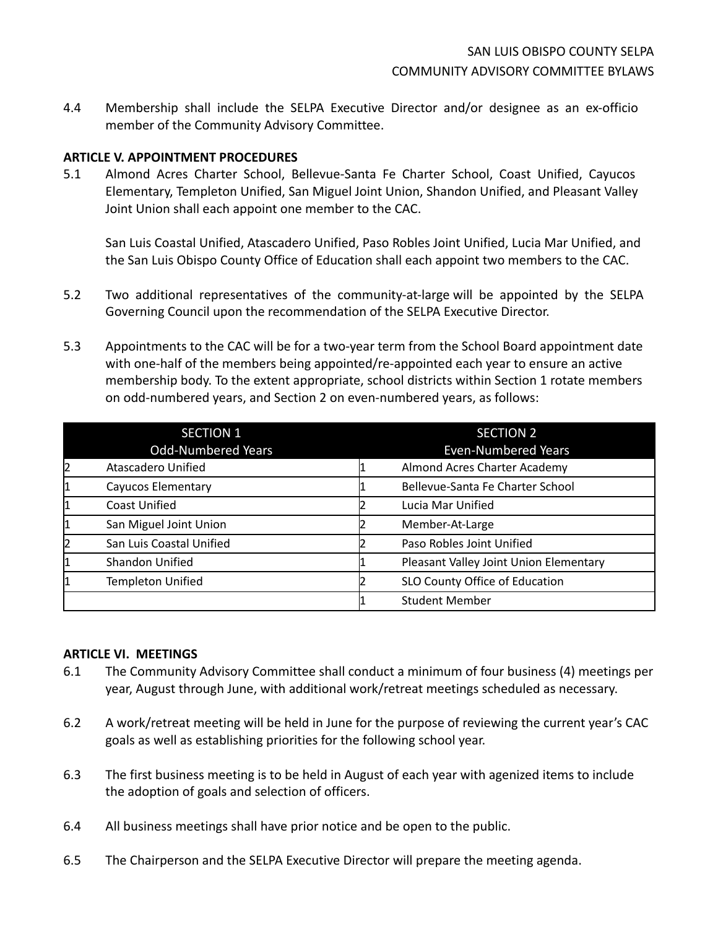4.4 Membership shall include the SELPA Executive Director and/or designee as an ex-officio member of the Community Advisory Committee.

#### **ARTICLE V. APPOINTMENT PROCEDURES**

5.1 Almond Acres Charter School, Bellevue-Santa Fe Charter School, Coast Unified, Cayucos Elementary, Templeton Unified, San Miguel Joint Union, Shandon Unified, and Pleasant Valley Joint Union shall each appoint one member to the CAC.

San Luis Coastal Unified, Atascadero Unified, Paso Robles Joint Unified, Lucia Mar Unified, and the San Luis Obispo County Office of Education shall each appoint two members to the CAC.

- 5.2 Two additional representatives of the community-at-large will be appointed by the SELPA Governing Council upon the recommendation of the SELPA Executive Director.
- 5.3 Appointments to the CAC will be for a two-year term from the School Board appointment date with one-half of the members being appointed/re-appointed each year to ensure an active membership body. To the extent appropriate, school districts within Section 1 rotate members on odd-numbered years, and Section 2 on even-numbered years, as follows:

|    | <b>SECTION 1</b>          | <b>SECTION 2</b>                       |
|----|---------------------------|----------------------------------------|
|    | <b>Odd-Numbered Years</b> | <b>Even-Numbered Years</b>             |
| 12 | Atascadero Unified        | Almond Acres Charter Academy           |
| 1  | Cayucos Elementary        | Bellevue-Santa Fe Charter School       |
|    | <b>Coast Unified</b>      | Lucia Mar Unified                      |
|    | San Miguel Joint Union    | Member-At-Large                        |
| 12 | San Luis Coastal Unified  | Paso Robles Joint Unified              |
|    | <b>Shandon Unified</b>    | Pleasant Valley Joint Union Elementary |
|    | <b>Templeton Unified</b>  | SLO County Office of Education         |
|    |                           | <b>Student Member</b>                  |

#### **ARTICLE VI. MEETINGS**

- 6.1 The Community Advisory Committee shall conduct a minimum of four business (4) meetings per year, August through June, with additional work/retreat meetings scheduled as necessary.
- 6.2 A work/retreat meeting will be held in June for the purpose of reviewing the current year's CAC goals as well as establishing priorities for the following school year.
- 6.3 The first business meeting is to be held in August of each year with agenized items to include the adoption of goals and selection of officers.
- 6.4 All business meetings shall have prior notice and be open to the public.
- 6.5 The Chairperson and the SELPA Executive Director will prepare the meeting agenda.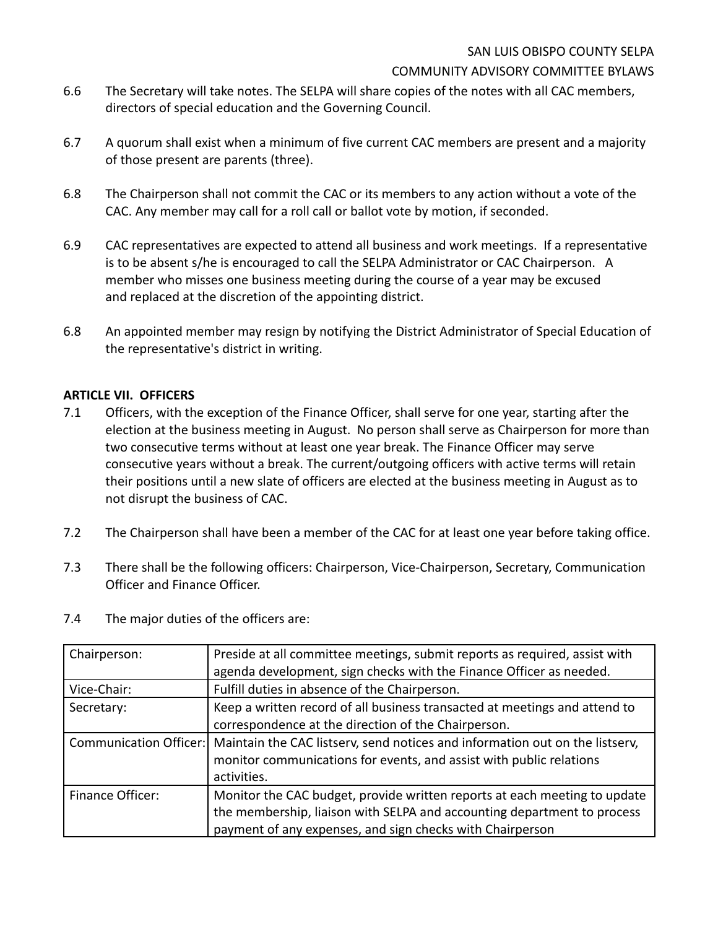- 6.6 The Secretary will take notes. The SELPA will share copies of the notes with all CAC members, directors of special education and the Governing Council.
- 6.7 A quorum shall exist when a minimum of five current CAC members are present and a majority of those present are parents (three).
- 6.8 The Chairperson shall not commit the CAC or its members to any action without a vote of the CAC. Any member may call for a roll call or ballot vote by motion, if seconded.
- 6.9 CAC representatives are expected to attend all business and work meetings. If a representative is to be absent s/he is encouraged to call the SELPA Administrator or CAC Chairperson. A member who misses one business meeting during the course of a year may be excused and replaced at the discretion of the appointing district.
- 6.8 An appointed member may resign by notifying the District Administrator of Special Education of the representative's district in writing.

### **ARTICLE VII. OFFICERS**

- 7.1 Officers, with the exception of the Finance Officer, shall serve for one year, starting after the election at the business meeting in August. No person shall serve as Chairperson for more than two consecutive terms without at least one year break. The Finance Officer may serve consecutive years without a break. The current/outgoing officers with active terms will retain their positions until a new slate of officers are elected at the business meeting in August as to not disrupt the business of CAC.
- 7.2 The Chairperson shall have been a member of the CAC for at least one year before taking office.
- 7.3 There shall be the following officers: Chairperson, Vice-Chairperson, Secretary, Communication Officer and Finance Officer.
- 7.4 The major duties of the officers are:

| Chairperson:           | Preside at all committee meetings, submit reports as required, assist with   |  |  |
|------------------------|------------------------------------------------------------------------------|--|--|
|                        | agenda development, sign checks with the Finance Officer as needed.          |  |  |
| Vice-Chair:            | Fulfill duties in absence of the Chairperson.                                |  |  |
| Secretary:             | Keep a written record of all business transacted at meetings and attend to   |  |  |
|                        | correspondence at the direction of the Chairperson.                          |  |  |
| Communication Officer: | Maintain the CAC listserv, send notices and information out on the listserv, |  |  |
|                        | monitor communications for events, and assist with public relations          |  |  |
|                        | activities.                                                                  |  |  |
| Finance Officer:       | Monitor the CAC budget, provide written reports at each meeting to update    |  |  |
|                        | the membership, liaison with SELPA and accounting department to process      |  |  |
|                        | payment of any expenses, and sign checks with Chairperson                    |  |  |